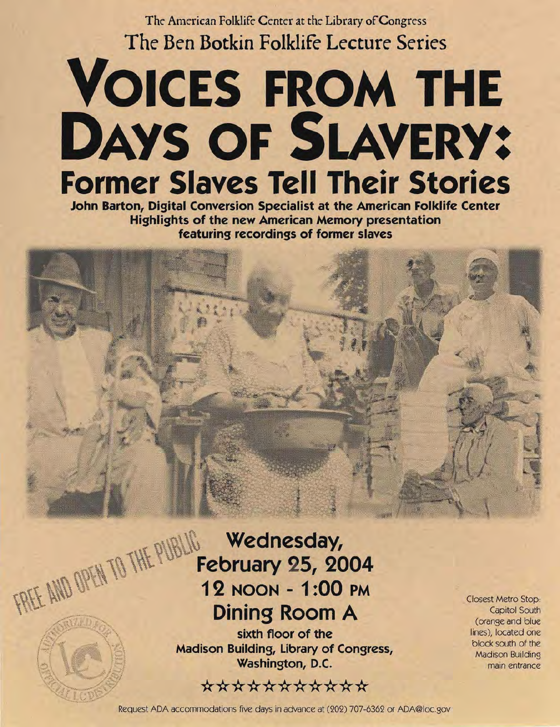The American Folklife Center at the Library of Congress **The Ben Botkin Folklife Lecture Series** 

## **VOICES FROM THE DAYS OF SLAVERY: Former Slaves Tell Their Stories**

**John Barton, Digital Conversion Specialist at the American Folklife Center Highlights of the new American Memory presentation featuring recordings of former slaves** 

## FREE AND OPEN TO THE PUBLIC Wednesday, **February 25, 2004 12 NOON - 1 :00 PM Dining Room A**

**sixth floor of the Madison Building, Library of Congress, Washington,** D.C.

## \*\*\*\*\*\*\*\*\*\*

Closest Metro Stop: Capitol South (orange and blue lines), located one block south of the Madison Building main entrance

Request ADA accommodations five days in advance at (202) 707-6362 or ADA@loc.gov